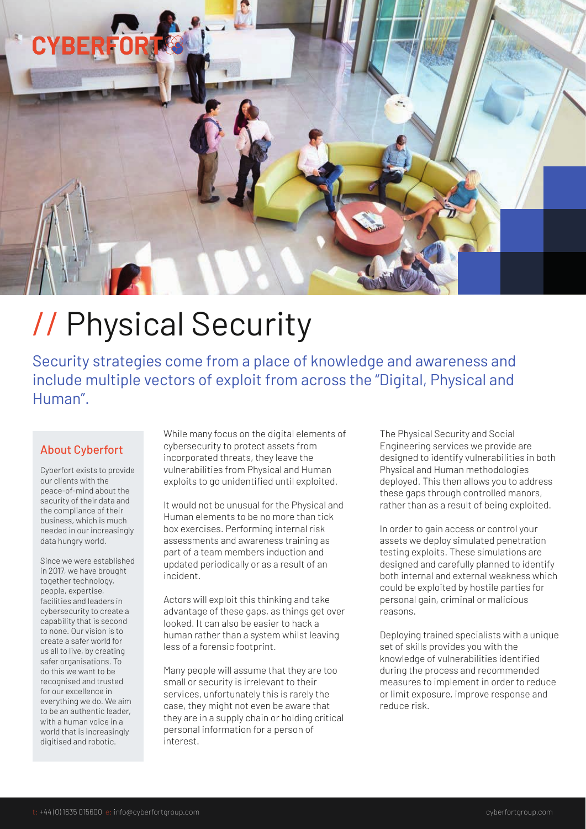# **CYBER**

# // Physical Security

Security strategies come from a place of knowledge and awareness and include multiple vectors of exploit from across the "Digital, Physical and Human".

#### About Cyberfort

Cyberfort exists to provide our clients with the peace-of-mind about the security of their data and the compliance of their business, which is much needed in our increasingly data hungry world.

Since we were established in 2017, we have brought together technology, people, expertise, facilities and leaders in cybersecurity to create a capability that is second to none. Our vision is to create a safer world for us all to live, by creating safer organisations. To do this we want to be recognised and trusted for our excellence in everything we do. We aim to be an authentic leader, with a human voice in a world that is increasingly digitised and robotic.

While many focus on the digital elements of cybersecurity to protect assets from incorporated threats, they leave the vulnerabilities from Physical and Human exploits to go unidentified until exploited.

It would not be unusual for the Physical and Human elements to be no more than tick box exercises. Performing internal risk assessments and awareness training as part of a team members induction and updated periodically or as a result of an incident.

Actors will exploit this thinking and take advantage of these gaps, as things get over looked. It can also be easier to hack a human rather than a system whilst leaving less of a forensic footprint.

Many people will assume that they are too small or security is irrelevant to their services, unfortunately this is rarely the case, they might not even be aware that they are in a supply chain or holding critical personal information for a person of interest.

The Physical Security and Social Engineering services we provide are designed to identify vulnerabilities in both Physical and Human methodologies deployed. This then allows you to address these gaps through controlled manors, rather than as a result of being exploited.

In order to gain access or control your assets we deploy simulated penetration testing exploits. These simulations are designed and carefully planned to identify both internal and external weakness which could be exploited by hostile parties for personal gain, criminal or malicious reasons.

Deploying trained specialists with a unique set of skills provides you with the knowledge of vulnerabilities identified during the process and recommended measures to implement in order to reduce or limit exposure, improve response and reduce risk.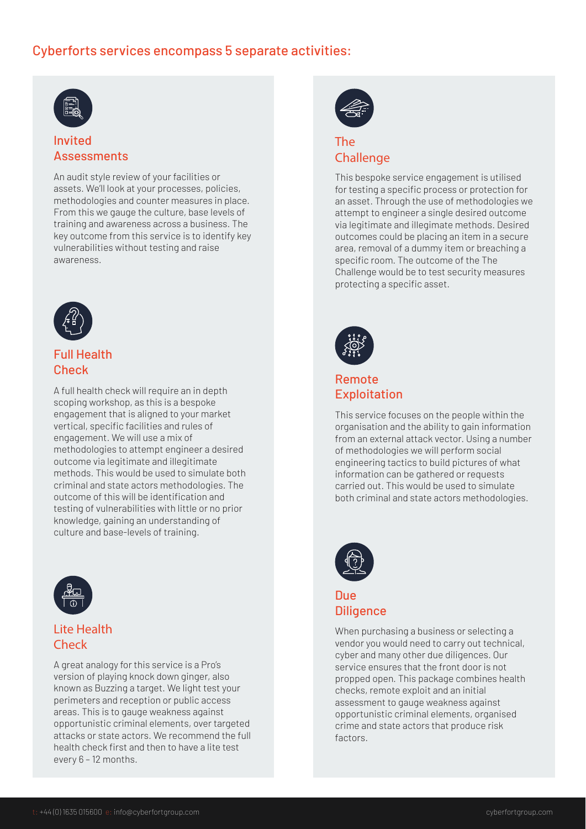# Cyberforts services encompass 5 separate activities:



#### Invited Assessments

An audit style review of your facilities or assets. We'll look at your processes, policies, methodologies and counter measures in place. From this we gauge the culture, base levels of training and awareness across a business. The key outcome from this service is to identify key vulnerabilities without testing and raise awareness.



# Full Health **Check**

A full health check will require an in depth scoping workshop, as this is a bespoke engagement that is aligned to your market vertical, specific facilities and rules of engagement. We will use a mix of methodologies to attempt engineer a desired outcome via legitimate and illegitimate methods. This would be used to simulate both criminal and state actors methodologies. The outcome of this will be identification and testing of vulnerabilities with little or no prior knowledge, gaining an understanding of culture and base-levels of training.



# Lite Health Check

A great analogy for this service is a Pro's version of playing knock down ginger, also known as Buzzing a target. We light test your perimeters and reception or public access areas. This is to gauge weakness against opportunistic criminal elements, over targeted attacks or state actors. We recommend the full health check first and then to have a lite test every 6 – 12 months.



#### The **Challenge**

This bespoke service engagement is utilised for testing a specific process or protection for an asset. Through the use of methodologies we attempt to engineer a single desired outcome via legitimate and illegimate methods. Desired outcomes could be placing an item in a secure area, removal of a dummy item or breaching a specific room. The outcome of the The Challenge would be to test security measures protecting a specific asset.



#### Remote Exploitation

This service focuses on the people within the organisation and the ability to gain information from an external attack vector. Using a number of methodologies we will perform social engineering tactics to build pictures of what information can be gathered or requests carried out. This would be used to simulate both criminal and state actors methodologies.



#### Due **Diligence**

When purchasing a business or selecting a vendor you would need to carry out technical, cyber and many other due diligences. Our service ensures that the front door is not propped open. This package combines health checks, remote exploit and an initial assessment to gauge weakness against opportunistic criminal elements, organised crime and state actors that produce risk factors.